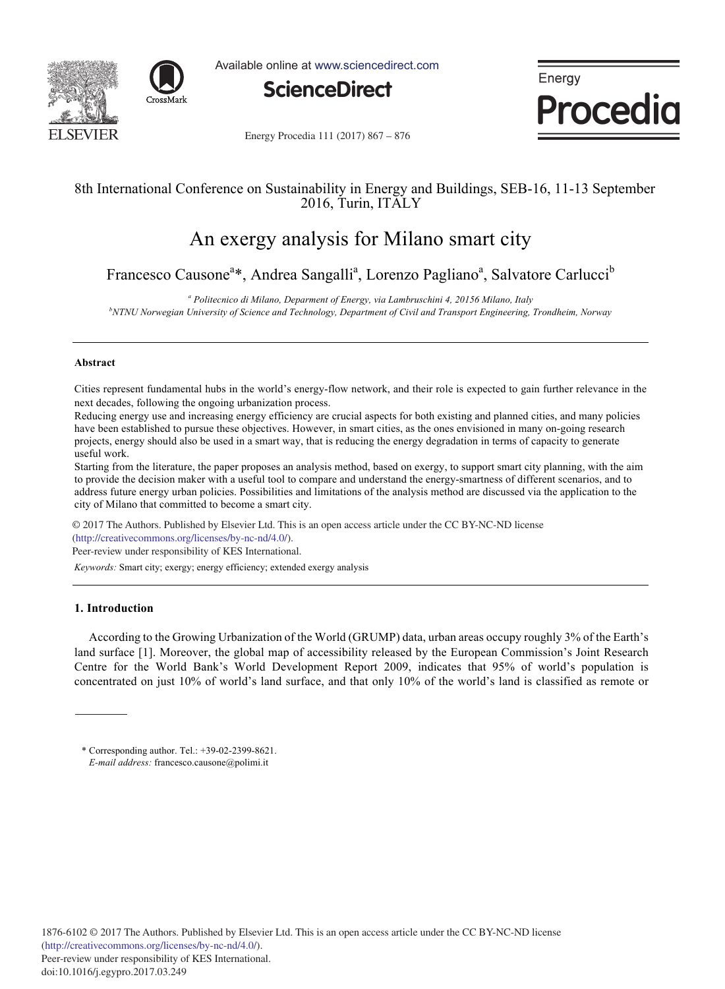



Available online at www.sciencedirect.com



Energy **Procedia** 

Energy Procedia 111 (2017) 867 - 876

# 8th International Conference on Sustainability in Energy and Buildings, SEB-16, 11-13 September 2016, Turin, ITALY

# An exergy analysis for Milano smart city

Francesco Causone<sup>a</sup>\*, Andrea Sangalli<sup>a</sup>, Lorenzo Pagliano<sup>a</sup>, Salvatore Carlucci<sup>b</sup>

<sup>a</sup> Politecnico di Milano, Deparment of Energy, via Lambruschini 4, 20156 Milano, Italy *b*<sup>b</sup>NTNH Memorgian University of Science and Technolomy Department of Givil and Transport Engineering

*NTNU Norwegian University of Science and Technology, Department of Civil and Transport Engineering, Trondheim, Norway* 

## **Abstract**

Cities represent fundamental hubs in the world's energy-flow network, and their role is expected to gain further relevance in the next decades, following the ongoing urbanization process.

Reducing energy use and increasing energy efficiency are crucial aspects for both existing and planned cities, and many policies have been established to pursue these objectives. However, in smart cities, as the ones envisioned in many on-going research projects, energy should also be used in a smart way, that is reducing the energy degradation in terms of capacity to generate useful work.

Starting from the literature, the paper proposes an analysis method, based on exergy, to support smart city planning, with the aim to provide the decision maker with a useful tool to compare and understand the energy-smartness of different scenarios, and to address future energy urban policies. Possibilities and limitations of the analysis method are discussed via the application to the city of Milano that committed to become a smart city.

 $\odot$  2017 The Authors. Published by Elsevier Ltd. This is an open access article under the CC BY-NC-ND license (http://creativecommons.org/licenses/by-nc-nd/4.0/).

Peer-review under responsibility of KES International.

*Keywords:* Smart city; exergy; energy efficiency; extended exergy analysis

# **1. Introduction**

According to the Growing Urbanization of the World (GRUMP) data, urban areas occupy roughly 3% of the Earth's land surface [1]. Moreover, the global map of accessibility released by the European Commission's Joint Research Centre for the World Bank's World Development Report 2009, indicates that 95% of world's population is concentrated on just 10% of world's land surface, and that only 10% of the world's land is classified as remote or

<sup>\*</sup> Corresponding author. Tel.: +39-02-2399-8621. *E-mail address:* francesco.causone@polimi.it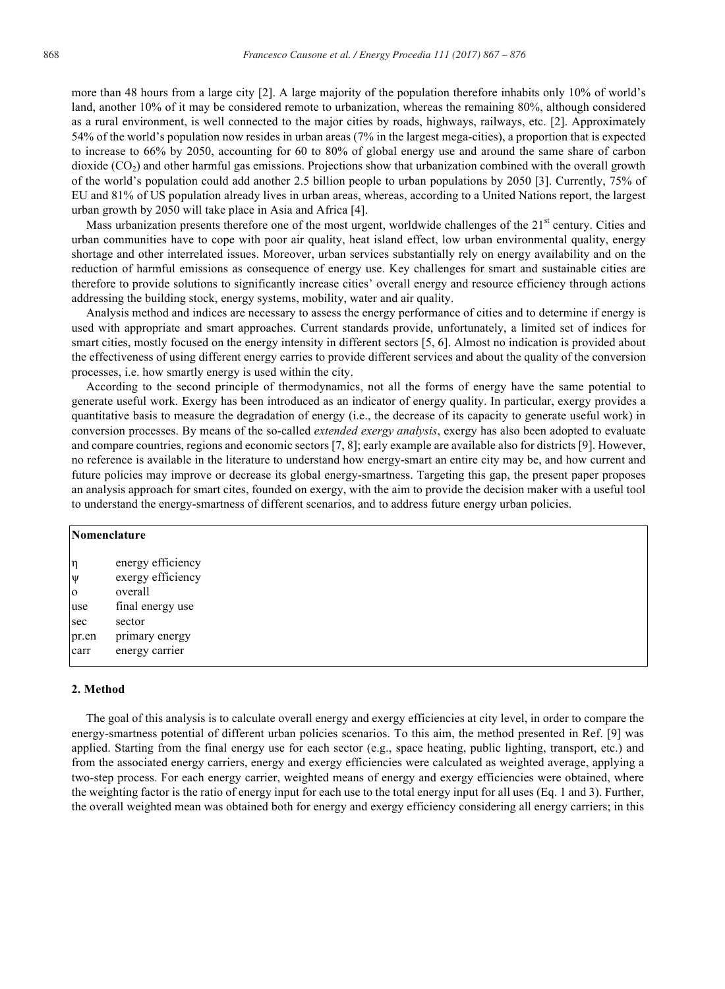more than 48 hours from a large city [2]. A large majority of the population therefore inhabits only 10% of world's land, another 10% of it may be considered remote to urbanization, whereas the remaining 80%, although considered as a rural environment, is well connected to the major cities by roads, highways, railways, etc. [2]. Approximately 54% of the world's population now resides in urban areas (7% in the largest mega-cities), a proportion that is expected to increase to 66% by 2050, accounting for 60 to 80% of global energy use and around the same share of carbon dioxide  $(CO<sub>2</sub>)$  and other harmful gas emissions. Projections show that urbanization combined with the overall growth of the world's population could add another 2.5 billion people to urban populations by 2050 [3]. Currently, 75% of EU and 81% of US population already lives in urban areas, whereas, according to a United Nations report, the largest urban growth by 2050 will take place in Asia and Africa [4].

Mass urbanization presents therefore one of the most urgent, worldwide challenges of the 21<sup>st</sup> century. Cities and urban communities have to cope with poor air quality, heat island effect, low urban environmental quality, energy shortage and other interrelated issues. Moreover, urban services substantially rely on energy availability and on the reduction of harmful emissions as consequence of energy use. Key challenges for smart and sustainable cities are therefore to provide solutions to significantly increase cities' overall energy and resource efficiency through actions addressing the building stock, energy systems, mobility, water and air quality.

Analysis method and indices are necessary to assess the energy performance of cities and to determine if energy is used with appropriate and smart approaches. Current standards provide, unfortunately, a limited set of indices for smart cities, mostly focused on the energy intensity in different sectors [5, 6]. Almost no indication is provided about the effectiveness of using different energy carries to provide different services and about the quality of the conversion processes, i.e. how smartly energy is used within the city.

According to the second principle of thermodynamics, not all the forms of energy have the same potential to generate useful work. Exergy has been introduced as an indicator of energy quality. In particular, exergy provides a quantitative basis to measure the degradation of energy (i.e., the decrease of its capacity to generate useful work) in conversion processes. By means of the so-called *extended exergy analysis*, exergy has also been adopted to evaluate and compare countries, regions and economic sectors [7, 8]; early example are available also for districts [9]. However, no reference is available in the literature to understand how energy-smart an entire city may be, and how current and future policies may improve or decrease its global energy-smartness. Targeting this gap, the present paper proposes an analysis approach for smart cites, founded on exergy, with the aim to provide the decision maker with a useful tool to understand the energy-smartness of different scenarios, and to address future energy urban policies.

|               | Nomenclature                           |  |  |  |
|---------------|----------------------------------------|--|--|--|
| $\eta$<br>Ψ   | energy efficiency<br>exergy efficiency |  |  |  |
| $\mathbf{0}$  | overall                                |  |  |  |
| use           | final energy use                       |  |  |  |
| sec           | sector                                 |  |  |  |
| pr.en<br>carr | primary energy<br>energy carrier       |  |  |  |

#### **2. Method**

The goal of this analysis is to calculate overall energy and exergy efficiencies at city level, in order to compare the energy-smartness potential of different urban policies scenarios. To this aim, the method presented in Ref. [9] was applied. Starting from the final energy use for each sector  $(e.g.,)$  space heating, public lighting, transport, etc.) and from the associated energy carriers, energy and exergy efficiencies were calculated as weighted average, applying a two-step process. For each energy carrier, weighted means of energy and exergy efficiencies were obtained, where the weighting factor is the ratio of energy input for each use to the total energy input for all uses (Eq. 1 and 3). Further, the overall weighted mean was obtained both for energy and exergy efficiency considering all energy carriers; in this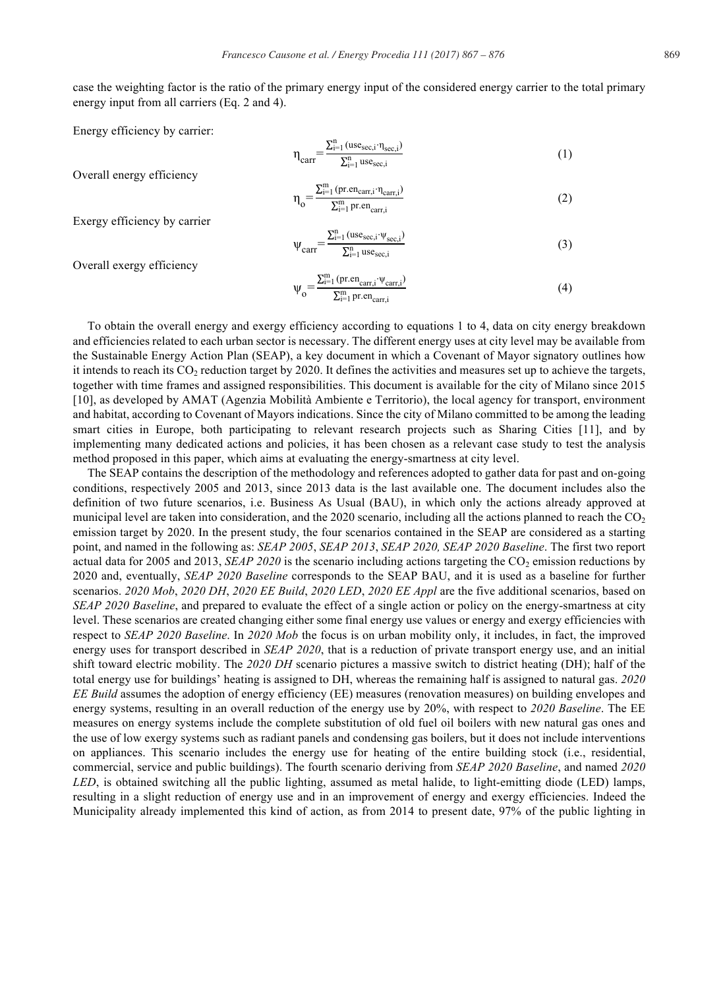case the weighting factor is the ratio of the primary energy input of the considered energy carrier to the total primary energy input from all carriers (Eq. 2 and 4).

Energy efficiency by carrier:

$$
\eta_{\text{carr}} = \frac{\sum_{i=1}^{n} (\text{use}_{\text{sec},i} \cdot \eta_{\text{sec},i})}{\sum_{i=1}^{n} \text{use}_{\text{sec},i}} \tag{1}
$$

Overall energy efficiency

$$
\eta_{o} = \frac{\sum_{i=1}^{m} (pr. en_{carr,i} \cdot \eta_{carr,i})}{\sum_{i=1}^{m} pr. en_{carr,i}}
$$
(2)

Exergy efficiency by carrier

$$
\psi_{\text{carr}} = \frac{\sum_{i=1}^{n} (\text{use}_{\text{sec},i} \cdot \psi_{\text{sec},i})}{\sum_{i=1}^{n} \text{use}_{\text{sec},i}} \tag{3}
$$

Overall exergy efficiency

$$
\psi_{o} = \frac{\sum_{i=1}^{m} (pr.en_{carr,i} \cdot \psi_{carr,i})}{\sum_{i=1}^{m} pr.en_{carr,i}}
$$
\n
$$
\tag{4}
$$

To obtain the overall energy and exergy efficiency according to equations 1 to 4, data on city energy breakdown and efficiencies related to each urban sector is necessary. The different energy uses at city level may be available from the Sustainable Energy Action Plan (SEAP), a key document in which a Covenant of Mayor signatory outlines how it intends to reach its CO2 reduction target by 2020. It defines the activities and measures set up to achieve the targets, together with time frames and assigned responsibilities. This document is available for the city of Milano since 2015 [10], as developed by AMAT (Agenzia Mobilità Ambiente e Territorio), the local agency for transport, environment and habitat, according to Covenant of Mayors indications. Since the city of Milano committed to be among the leading smart cities in Europe, both participating to relevant research projects such as Sharing Cities [11], and by implementing many dedicated actions and policies, it has been chosen as a relevant case study to test the analysis method proposed in this paper, which aims at evaluating the energy-smartness at city level.

The SEAP contains the description of the methodology and references adopted to gather data for past and on-going conditions, respectively 2005 and 2013, since 2013 data is the last available one. The document includes also the definition of two future scenarios, i.e. Business As Usual (BAU), in which only the actions already approved at municipal level are taken into consideration, and the 2020 scenario, including all the actions planned to reach the  $CO<sub>2</sub>$ emission target by 2020. In the present study, the four scenarios contained in the SEAP are considered as a starting point, and named in the following as: *SEAP 2005*, *SEAP 2013*, *SEAP 2020, SEAP 2020 Baseline*. The first two report actual data for 2005 and 2013, *SEAP 2020* is the scenario including actions targeting the  $CO<sub>2</sub>$  emission reductions by 2020 and, eventually, *SEAP 2020 Baseline* corresponds to the SEAP BAU, and it is used as a baseline for further scenarios. *2020 Mob*, *2020 DH*, *2020 EE Build*, *2020 LED*, *2020 EE Appl* are the five additional scenarios, based on *SEAP 2020 Baseline*, and prepared to evaluate the effect of a single action or policy on the energy-smartness at city level. These scenarios are created changing either some final energy use values or energy and exergy efficiencies with respect to *SEAP 2020 Baseline*. In *2020 Mob* the focus is on urban mobility only, it includes, in fact, the improved energy uses for transport described in *SEAP 2020*, that is a reduction of private transport energy use, and an initial shift toward electric mobility. The *2020 DH* scenario pictures a massive switch to district heating (DH); half of the total energy use for buildings' heating is assigned to DH, whereas the remaining half is assigned to natural gas. *2020 EE Build* assumes the adoption of energy efficiency (EE) measures (renovation measures) on building envelopes and energy systems, resulting in an overall reduction of the energy use by 20%, with respect to *2020 Baseline*. The EE measures on energy systems include the complete substitution of old fuel oil boilers with new natural gas ones and the use of low exergy systems such as radiant panels and condensing gas boilers, but it does not include interventions on appliances. This scenario includes the energy use for heating of the entire building stock (i.e., residential, commercial, service and public buildings). The fourth scenario deriving from *SEAP 2020 Baseline*, and named *2020 LED*, is obtained switching all the public lighting, assumed as metal halide, to light-emitting diode (LED) lamps, resulting in a slight reduction of energy use and in an improvement of energy and exergy efficiencies. Indeed the Municipality already implemented this kind of action, as from 2014 to present date, 97% of the public lighting in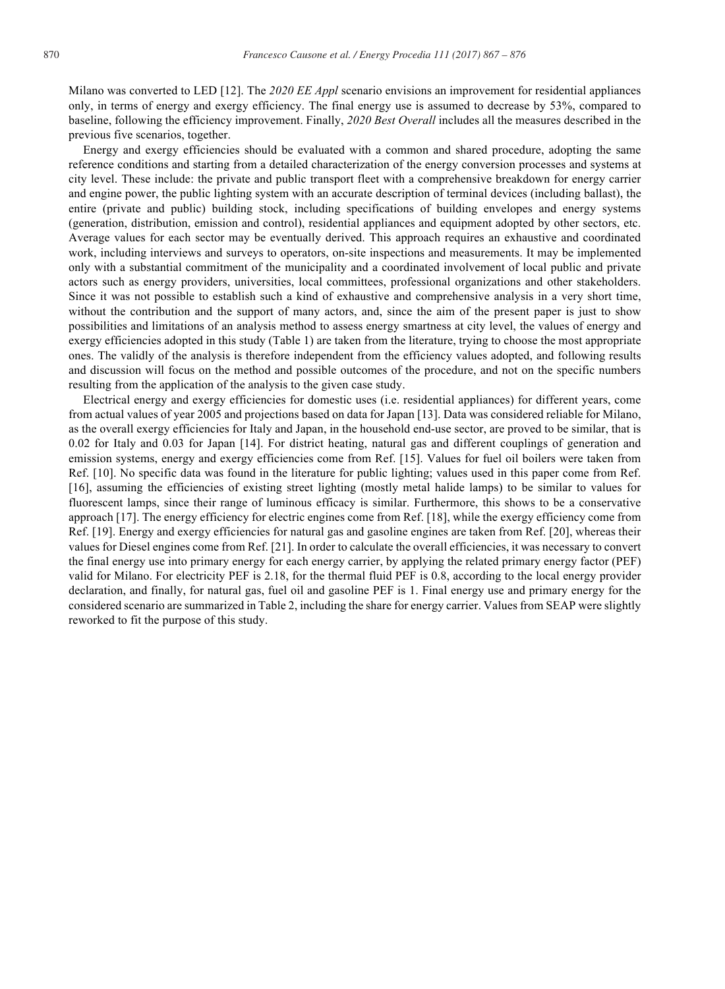Milano was converted to LED [12]. The *2020 EE Appl* scenario envisions an improvement for residential appliances only, in terms of energy and exergy efficiency. The final energy use is assumed to decrease by 53%, compared to baseline, following the efficiency improvement. Finally, *2020 Best Overall* includes all the measures described in the previous five scenarios, together.

Energy and exergy efficiencies should be evaluated with a common and shared procedure, adopting the same reference conditions and starting from a detailed characterization of the energy conversion processes and systems at city level. These include: the private and public transport fleet with a comprehensive breakdown for energy carrier and engine power, the public lighting system with an accurate description of terminal devices (including ballast), the entire (private and public) building stock, including specifications of building envelopes and energy systems (generation, distribution, emission and control), residential appliances and equipment adopted by other sectors, etc. Average values for each sector may be eventually derived. This approach requires an exhaustive and coordinated work, including interviews and surveys to operators, on-site inspections and measurements. It may be implemented only with a substantial commitment of the municipality and a coordinated involvement of local public and private actors such as energy providers, universities, local committees, professional organizations and other stakeholders. Since it was not possible to establish such a kind of exhaustive and comprehensive analysis in a very short time, without the contribution and the support of many actors, and, since the aim of the present paper is just to show possibilities and limitations of an analysis method to assess energy smartness at city level, the values of energy and exergy efficiencies adopted in this study (Table 1) are taken from the literature, trying to choose the most appropriate ones. The validly of the analysis is therefore independent from the efficiency values adopted, and following results and discussion will focus on the method and possible outcomes of the procedure, and not on the specific numbers resulting from the application of the analysis to the given case study.

Electrical energy and exergy efficiencies for domestic uses (i.e. residential appliances) for different years, come from actual values of year 2005 and projections based on data for Japan [13]. Data was considered reliable for Milano, as the overall exergy efficiencies for Italy and Japan, in the household end-use sector, are proved to be similar, that is 0.02 for Italy and 0.03 for Japan [14]. For district heating, natural gas and different couplings of generation and emission systems, energy and exergy efficiencies come from Ref. [15]. Values for fuel oil boilers were taken from Ref. [10]. No specific data was found in the literature for public lighting; values used in this paper come from Ref. [16], assuming the efficiencies of existing street lighting (mostly metal halide lamps) to be similar to values for fluorescent lamps, since their range of luminous efficacy is similar. Furthermore, this shows to be a conservative approach [17]. The energy efficiency for electric engines come from Ref. [18], while the exergy efficiency come from Ref. [19]. Energy and exergy efficiencies for natural gas and gasoline engines are taken from Ref. [20], whereas their values for Diesel engines come from Ref. [21]. In order to calculate the overall efficiencies, it was necessary to convert the final energy use into primary energy for each energy carrier, by applying the related primary energy factor (PEF) valid for Milano. For electricity PEF is 2.18, for the thermal fluid PEF is 0.8, according to the local energy provider declaration, and finally, for natural gas, fuel oil and gasoline PEF is 1. Final energy use and primary energy for the considered scenario are summarized in Table 2, including the share for energy carrier. Values from SEAP were slightly reworked to fit the purpose of this study.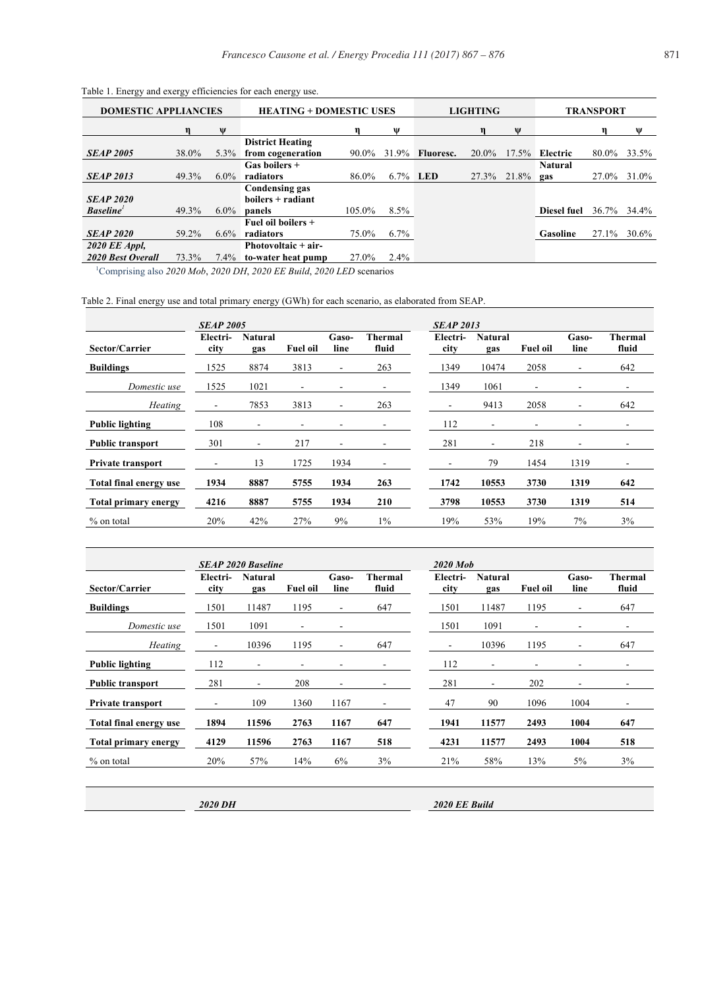| <b>DOMESTIC APPLIANCIES</b>         |       |         | <b>HEATING + DOMESTIC USES</b>                         |        |          |                  | <b>LIGHTING</b> |              |             | <b>TRANSPORT</b> |       |  |
|-------------------------------------|-------|---------|--------------------------------------------------------|--------|----------|------------------|-----------------|--------------|-------------|------------------|-------|--|
|                                     |       | W       |                                                        |        | w        |                  |                 |              |             |                  | W     |  |
| <b>SEAP 2005</b>                    | 38.0% | $5.3\%$ | <b>District Heating</b><br>from cogeneration           | 90.0%  | 31.9%    | <b>Fluoresc.</b> | 20.0%           | $17.5\%$     | Electric    | 80.0%            | 33.5% |  |
| <b>SEAP 2013</b>                    | 49.3% | $6.0\%$ | Gas boilers +<br>radiators                             | 86.0%  | 6.7% LED |                  | 27.3%           | $21.8\%$ gas | Natural     | 27.0%            | 31.0% |  |
| <b>SEAP 2020</b><br><b>Baseline</b> | 49.3% | $6.0\%$ | <b>Condensing gas</b><br>$boilers + radiant$<br>panels | 105.0% | 8.5%     |                  |                 |              | Diesel fuel | 36.7%            | 34.4% |  |
| <b>SEAP 2020</b>                    | 59.2% | $6.6\%$ | Fuel oil boilers +<br>radiators                        | 75.0%  | $6.7\%$  |                  |                 |              | Gasoline    | 27.1%            | 30.6% |  |
| 2020 EE Appl,<br>2020 Best Overall  | 73.3% | 7.4%    | Photovoltaic + air-<br>to-water heat pump              | 27.0%  | $2.4\%$  |                  |                 |              |             |                  |       |  |

Table 1. Energy and exergy efficiencies for each energy use.

1 Comprising also *2020 Mob*, *2020 DH*, *2020 EE Build*, *2020 LED* scenarios

Table 2. Final energy use and total primary energy (GWh) for each scenario, as elaborated from SEAP.

|                             | <b>SEAP 2005</b>         |                          |                          |                          |                          | <b>SEAP 2013</b> |                          |                 |               |                          |
|-----------------------------|--------------------------|--------------------------|--------------------------|--------------------------|--------------------------|------------------|--------------------------|-----------------|---------------|--------------------------|
| Sector/Carrier              | Electri-<br>city         | <b>Natural</b><br>gas    | <b>Fuel oil</b>          | Gaso-<br>line            | Thermal<br>fluid         | Electri-<br>city | <b>Natural</b><br>gas    | <b>Fuel oil</b> | Gaso-<br>line | Thermal<br>fluid         |
| <b>Buildings</b>            | 1525                     | 8874                     | 3813                     | $\overline{\phantom{a}}$ | 263                      | 1349             | 10474                    | 2058            | ٠             | 642                      |
| Domestic use                | 1525                     | 1021                     | $\overline{\phantom{a}}$ |                          |                          | 1349             | 1061                     | -               |               | $\overline{\phantom{a}}$ |
| <b>Heating</b>              | $\overline{\phantom{a}}$ | 7853                     | 3813                     | $\overline{\phantom{a}}$ | 263                      | -                | 9413                     | 2058            | Ξ.            | 642                      |
| <b>Public lighting</b>      | 108                      | $\overline{\phantom{a}}$ | $\overline{\phantom{a}}$ |                          | -                        | 112              | $\overline{\phantom{a}}$ | ۰               | -             | $\overline{\phantom{a}}$ |
| <b>Public transport</b>     | 301                      | $\overline{\phantom{a}}$ | 217                      | ٠                        |                          | 281              | $\overline{\phantom{a}}$ | 218             | ۰             |                          |
| <b>Private transport</b>    | $\overline{\phantom{0}}$ | 13                       | 1725                     | 1934                     | $\overline{\phantom{a}}$ |                  | 79                       | 1454            | 1319          | -                        |
| Total final energy use      | 1934                     | 8887                     | 5755                     | 1934                     | 263                      | 1742             | 10553                    | 3730            | 1319          | 642                      |
| <b>Total primary energy</b> | 4216                     | 8887                     | 5755                     | 1934                     | 210                      | 3798             | 10553                    | 3730            | 1319          | 514                      |
| % on total                  | 20%                      | 42%                      | 27%                      | 9%                       | $1\%$                    | 19%              | 53%                      | 19%             | 7%            | 3%                       |

|                             |                  | <b>SEAP 2020 Baseline</b> |                          |                          |                          | 2020 Mob                 |                          |                          |                          |                          |
|-----------------------------|------------------|---------------------------|--------------------------|--------------------------|--------------------------|--------------------------|--------------------------|--------------------------|--------------------------|--------------------------|
| Sector/Carrier              | Electri-<br>city | <b>Natural</b><br>gas     | Fuel oil                 | Gaso-<br>line            | <b>Thermal</b><br>fluid  | Electri-<br>city         | Natural<br>gas           | <b>Fuel oil</b>          | Gaso-<br>line            | Thermal<br>fluid         |
| <b>Buildings</b>            | 1501             | 11487                     | 1195                     | ۰                        | 647                      | 1501                     | 11487                    | 1195                     | $\overline{\phantom{a}}$ | 647                      |
| Domestic use                | 1501             | 1091                      | $\overline{\phantom{a}}$ |                          |                          | 1501                     | 1091                     | $\overline{\phantom{a}}$ | $\overline{\phantom{a}}$ | $\overline{\phantom{a}}$ |
| <b>Heating</b>              |                  | 10396                     | 1195                     | ۰                        | 647                      | $\overline{\phantom{a}}$ | 10396                    | 1195                     | $\overline{\phantom{a}}$ | 647                      |
| <b>Public lighting</b>      | 112              | $\overline{\phantom{0}}$  | $\overline{\phantom{0}}$ |                          |                          | 112                      | $\overline{\phantom{0}}$ |                          |                          |                          |
| <b>Public transport</b>     | 281              | $\overline{\phantom{a}}$  | 208                      | $\overline{\phantom{a}}$ | $\overline{\phantom{a}}$ | 281                      | $\overline{\phantom{a}}$ | 202                      | $\overline{\phantom{a}}$ | -                        |
| <b>Private transport</b>    | ٠                | 109                       | 1360                     | 1167                     |                          | 47                       | 90                       | 1096                     | 1004                     |                          |
| Total final energy use      | 1894             | 11596                     | 2763                     | 1167                     | 647                      | 1941                     | 11577                    | 2493                     | 1004                     | 647                      |
| <b>Total primary energy</b> | 4129             | 11596                     | 2763                     | 1167                     | 518                      | 4231                     | 11577                    | 2493                     | 1004                     | 518                      |
| % on total                  | 20%              | 57%                       | 14%                      | 6%                       | 3%                       | 21%                      | 58%                      | 13%                      | $5\%$                    | 3%                       |

*2020 DH 2020 EE Build*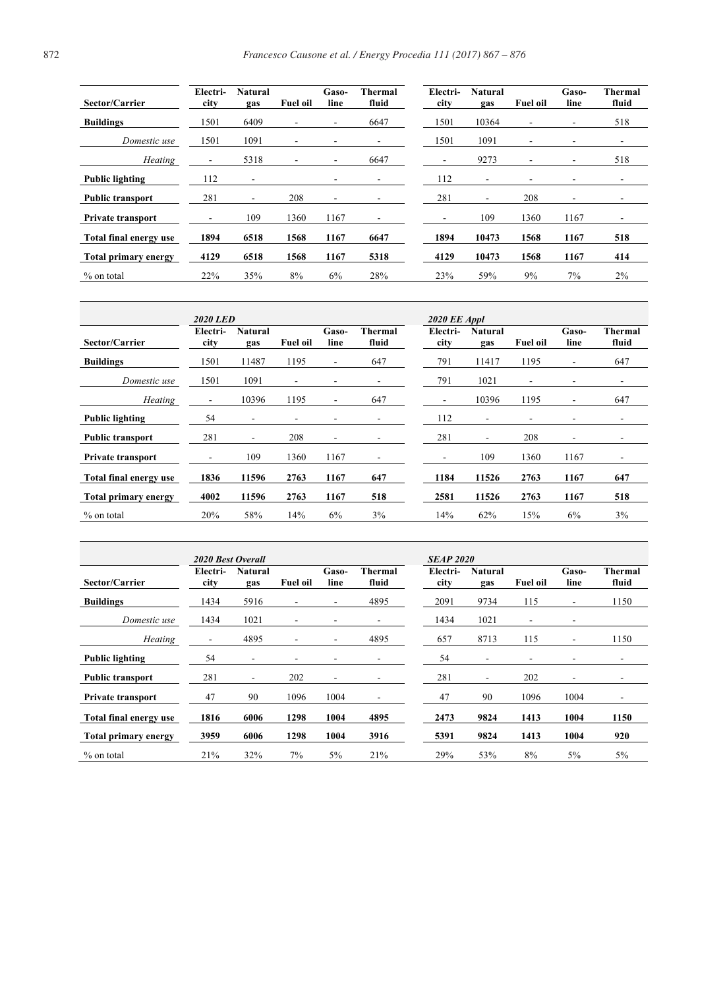| Sector/Carrier           | Electri-<br>city         | <b>Natural</b><br>gas    | <b>Fuel oil</b>              | Gaso-<br>line            | <b>Thermal</b><br>fluid  | Electri-<br>city | Natural<br>gas | <b>Fuel oil</b>          | Gaso-<br>line            | Thermal<br>fluid         |
|--------------------------|--------------------------|--------------------------|------------------------------|--------------------------|--------------------------|------------------|----------------|--------------------------|--------------------------|--------------------------|
| <b>Buildings</b>         | 1501                     | 6409                     | ٠                            | $\overline{\phantom{a}}$ | 6647                     | 1501             | 10364          | $\overline{\phantom{0}}$ | $\overline{\phantom{a}}$ | 518                      |
| Domestic use             | 1501                     | 1091                     | $\overline{\phantom{a}}$     |                          | $\overline{\phantom{a}}$ | 1501             | 1091           | ٠                        |                          | $\overline{\phantom{a}}$ |
| Heating                  |                          | 5318                     | $\qquad \qquad \blacksquare$ |                          | 6647                     | -                | 9273           | -                        | $\overline{\phantom{a}}$ | 518                      |
| <b>Public lighting</b>   | 112                      | $\overline{a}$           |                              |                          | $\overline{\phantom{a}}$ | 112              | -              | -                        | $\overline{\phantom{0}}$ | $\overline{\phantom{0}}$ |
| <b>Public transport</b>  | 281                      | $\overline{\phantom{a}}$ | 208                          |                          |                          | 281              | -              | 208                      | $\overline{\phantom{0}}$ | $\overline{\phantom{a}}$ |
| <b>Private transport</b> | $\overline{\phantom{0}}$ | 109                      | 1360                         | 1167                     | $\overline{\phantom{a}}$ | -                | 109            | 1360                     | 1167                     | $\overline{\phantom{a}}$ |
| Total final energy use   | 1894                     | 6518                     | 1568                         | 1167                     | 6647                     | 1894             | 10473          | 1568                     | 1167                     | 518                      |
| Total primary energy     | 4129                     | 6518                     | 1568                         | 1167                     | 5318                     | 4129             | 10473          | 1568                     | 1167                     | 414                      |
| $%$ on total             | 22%                      | 35%                      | 8%                           | 6%                       | 28%                      | 23%              | 59%            | 9%                       | $7\%$                    | 2%                       |

|                             | 2020 LED                 |                          |                          |                          |                          | 2020 EE Appl     |                          |                          |                              |                          |
|-----------------------------|--------------------------|--------------------------|--------------------------|--------------------------|--------------------------|------------------|--------------------------|--------------------------|------------------------------|--------------------------|
| Sector/Carrier              | Electri-<br>city         | <b>Natural</b><br>gas    | <b>Fuel oil</b>          | Gaso-<br>line            | Thermal<br>fluid         | Electri-<br>city | <b>Natural</b><br>gas    | <b>Fuel oil</b>          | Gaso-<br>line                | Thermal<br>fluid         |
| <b>Buildings</b>            | 1501                     | 11487                    | 1195                     | $\overline{\phantom{a}}$ | 647                      | 791              | 11417                    | 1195                     | ٠                            | 647                      |
| Domestic use                | 1501                     | 1091                     | $\overline{\phantom{a}}$ |                          | -                        | 791              | 1021                     | ۰                        | $\overline{\phantom{0}}$     | $\overline{\phantom{a}}$ |
| Heating                     | ٠                        | 10396                    | 1195                     | $\overline{\phantom{a}}$ | 647                      | ٠                | 10396                    | 1195                     | $\overline{\phantom{0}}$     | 647                      |
| Public lighting             | 54                       | $\overline{\phantom{a}}$ | ٠                        |                          | $\overline{\phantom{a}}$ | 112              | $\overline{\phantom{a}}$ | $\overline{\phantom{a}}$ |                              | $\overline{\phantom{a}}$ |
| <b>Public transport</b>     | 281                      | $\overline{\phantom{a}}$ | 208                      | $\overline{\phantom{a}}$ | -                        | 281              | $\overline{\phantom{a}}$ | 208                      | $\qquad \qquad \blacksquare$ | $\overline{\phantom{0}}$ |
| <b>Private transport</b>    | $\overline{\phantom{0}}$ | 109                      | 1360                     | 1167                     | ٠                        | -                | 109                      | 1360                     | 1167                         | ٠                        |
| Total final energy use      | 1836                     | 11596                    | 2763                     | 1167                     | 647                      | 1184             | 11526                    | 2763                     | 1167                         | 647                      |
| <b>Total primary energy</b> | 4002                     | 11596                    | 2763                     | 1167                     | 518                      | 2581             | 11526                    | 2763                     | 1167                         | 518                      |
| % on total                  | 20%                      | 58%                      | 14%                      | 6%                       | 3%                       | 14%              | 62%                      | 15%                      | 6%                           | 3%                       |
|                             |                          |                          |                          |                          |                          |                  |                          |                          |                              |                          |

|                             | 2020 Best Overall |                          |                          |                          |                         |                  | <b>SEAP 2020</b>      |                          |                          |                          |  |  |
|-----------------------------|-------------------|--------------------------|--------------------------|--------------------------|-------------------------|------------------|-----------------------|--------------------------|--------------------------|--------------------------|--|--|
| Sector/Carrier              | Electri-<br>city  | Natural<br>gas           | <b>Fuel oil</b>          | Gaso-<br>line            | <b>Thermal</b><br>fluid | Electri-<br>city | <b>Natural</b><br>gas | <b>Fuel oil</b>          | Gaso-<br>line            | Thermal<br>fluid         |  |  |
| <b>Buildings</b>            | 1434              | 5916                     | $\overline{\phantom{a}}$ |                          | 4895                    | 2091             | 9734                  | 115                      | $\overline{\phantom{a}}$ | 1150                     |  |  |
| Domestic use                | 1434              | 1021                     | $\overline{\phantom{a}}$ |                          |                         | 1434             | 1021                  | $\overline{\phantom{a}}$ | $\overline{\phantom{a}}$ |                          |  |  |
| Heating                     |                   | 4895                     | $\overline{\phantom{a}}$ | $\overline{\phantom{a}}$ | 4895                    | 657              | 8713                  | 115                      | Ξ.                       | 1150                     |  |  |
| <b>Public lighting</b>      | 54                | -                        | -                        |                          |                         | 54               | ٠                     |                          | -                        | $\overline{\phantom{0}}$ |  |  |
| <b>Public transport</b>     | 281               | $\overline{\phantom{a}}$ | 202                      | $\overline{\phantom{a}}$ |                         | 281              | ۰                     | 202                      | $\overline{\phantom{a}}$ |                          |  |  |
| <b>Private transport</b>    | 47                | 90                       | 1096                     | 1004                     |                         | 47               | 90                    | 1096                     | 1004                     | $\overline{\phantom{a}}$ |  |  |
| Total final energy use      | 1816              | 6006                     | 1298                     | 1004                     | 4895                    | 2473             | 9824                  | 1413                     | 1004                     | 1150                     |  |  |
| <b>Total primary energy</b> | 3959              | 6006                     | 1298                     | 1004                     | 3916                    | 5391             | 9824                  | 1413                     | 1004                     | 920                      |  |  |
| % on total                  | 21%               | 32%                      | 7%                       | 5%                       | 21%                     | 29%              | 53%                   | 8%                       | $5\%$                    | $5\%$                    |  |  |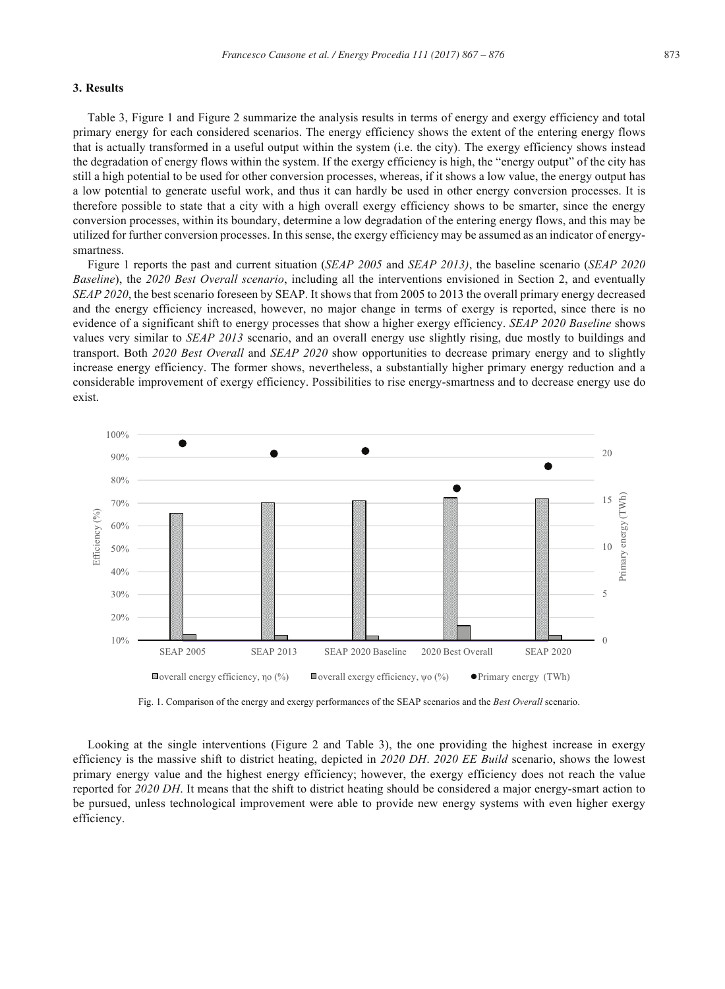## **3. Results**

Table 3, Figure 1 and Figure 2 summarize the analysis results in terms of energy and exergy efficiency and total primary energy for each considered scenarios. The energy efficiency shows the extent of the entering energy flows that is actually transformed in a useful output within the system (i.e. the city). The exergy efficiency shows instead the degradation of energy flows within the system. If the exergy efficiency is high, the "energy output" of the city has still a high potential to be used for other conversion processes, whereas, if it shows a low value, the energy output has a low potential to generate useful work, and thus it can hardly be used in other energy conversion processes. It is therefore possible to state that a city with a high overall exergy efficiency shows to be smarter, since the energy conversion processes, within its boundary, determine a low degradation of the entering energy flows, and this may be utilized for further conversion processes. In this sense, the exergy efficiency may be assumed as an indicator of energysmartness.

Figure 1 reports the past and current situation (*SEAP 2005* and *SEAP 2013)*, the baseline scenario (*SEAP 2020 Baseline*), the *2020 Best Overall scenario*, including all the interventions envisioned in Section 2, and eventually *SEAP 2020*, the best scenario foreseen by SEAP. It shows that from 2005 to 2013 the overall primary energy decreased and the energy efficiency increased, however, no major change in terms of exergy is reported, since there is no evidence of a significant shift to energy processes that show a higher exergy efficiency. *SEAP 2020 Baseline* shows values very similar to *SEAP 2013* scenario, and an overall energy use slightly rising, due mostly to buildings and transport. Both *2020 Best Overall* and *SEAP 2020* show opportunities to decrease primary energy and to slightly increase energy efficiency. The former shows, nevertheless, a substantially higher primary energy reduction and a considerable improvement of exergy efficiency. Possibilities to rise energy-smartness and to decrease energy use do exist.



Fig. 1. Comparison of the energy and exergy performances of the SEAP scenarios and the *Best Overall* scenario.

Looking at the single interventions (Figure 2 and Table 3), the one providing the highest increase in exergy efficiency is the massive shift to district heating, depicted in *2020 DH*. *2020 EE Build* scenario, shows the lowest primary energy value and the highest energy efficiency; however, the exergy efficiency does not reach the value reported for *2020 DH*. It means that the shift to district heating should be considered a major energy-smart action to be pursued, unless technological improvement were able to provide new energy systems with even higher exergy efficiency.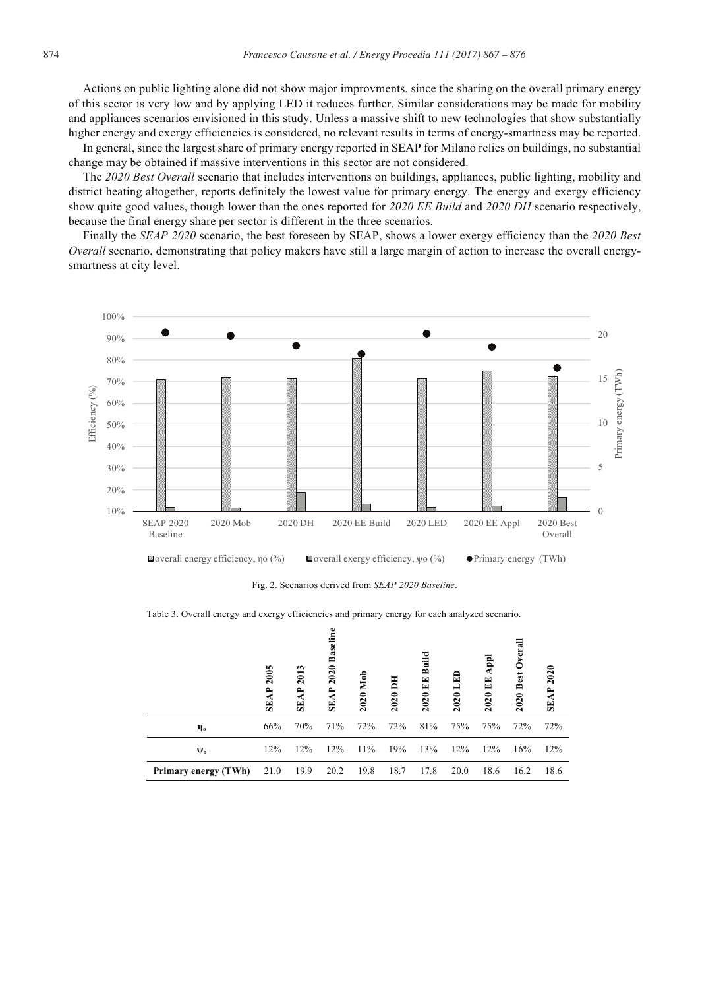Actions on public lighting alone did not show major improvments, since the sharing on the overall primary energy of this sector is very low and by applying LED it reduces further. Similar considerations may be made for mobility and appliances scenarios envisioned in this study. Unless a massive shift to new technologies that show substantially higher energy and exergy efficiencies is considered, no relevant results in terms of energy-smartness may be reported.

In general, since the largest share of primary energy reported in SEAP for Milano relies on buildings, no substantial change may be obtained if massive interventions in this sector are not considered.

The *2020 Best Overall* scenario that includes interventions on buildings, appliances, public lighting, mobility and district heating altogether, reports definitely the lowest value for primary energy. The energy and exergy efficiency show quite good values, though lower than the ones reported for *2020 EE Build* and *2020 DH* scenario respectively, because the final energy share per sector is different in the three scenarios.

Finally the *SEAP 2020* scenario, the best foreseen by SEAP, shows a lower exergy efficiency than the *2020 Best Overall* scenario, demonstrating that policy makers have still a large margin of action to increase the overall energysmartness at city level.



Fig. 2. Scenarios derived from *SEAP 2020 Baseline*.

Table 3. Overall energy and exergy efficiencies and primary energy for each analyzed scenario.

|                      | 2005<br><b>SEAP</b> | 2013<br>दै<br>S | Baseli<br>2020<br>ਟੈ<br>SE. | 2020 Mob | Ē<br>2020 | Buil<br>덕<br>œ<br>2020 | F<br>2020 | $\mathsf{A}\mathsf{P}$<br>EE<br>2020 | Overal<br>2020 Best | 2020<br><b>SEAP</b> |
|----------------------|---------------------|-----------------|-----------------------------|----------|-----------|------------------------|-----------|--------------------------------------|---------------------|---------------------|
| ղօ                   | 66%                 | 70%             | 71%                         | 72%      | 72%       | 81%                    | 75%       | 75%                                  | 72%                 | 72%                 |
| $\Psi_{o}$           | 12%                 | 12%             | 12%                         | 11%      | 19%       | 13%                    | 12%       | 12%                                  | 16%                 | 12%                 |
| Primary energy (TWh) | 21.0                | 19.9            | 20.2                        | 19.8     | 18.7      | 17.8                   | 20.0      | 18.6                                 | 16.2                | 18.6                |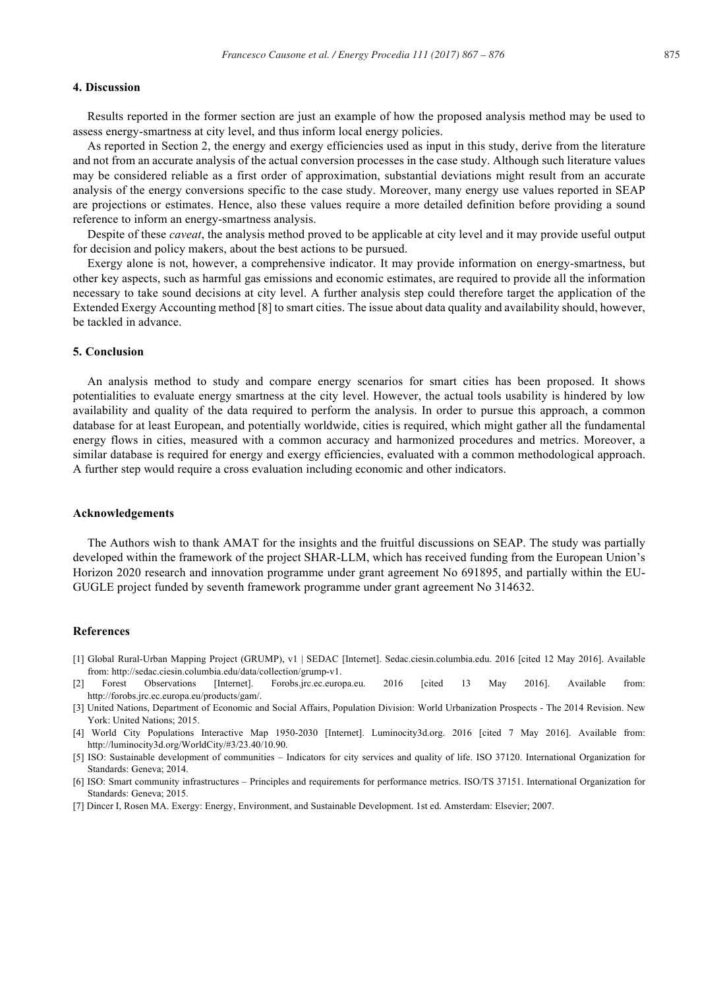#### **4. Discussion**

Results reported in the former section are just an example of how the proposed analysis method may be used to assess energy-smartness at city level, and thus inform local energy policies.

As reported in Section 2, the energy and exergy efficiencies used as input in this study, derive from the literature and not from an accurate analysis of the actual conversion processes in the case study. Although such literature values may be considered reliable as a first order of approximation, substantial deviations might result from an accurate analysis of the energy conversions specific to the case study. Moreover, many energy use values reported in SEAP are projections or estimates. Hence, also these values require a more detailed definition before providing a sound reference to inform an energy-smartness analysis.

Despite of these *caveat*, the analysis method proved to be applicable at city level and it may provide useful output for decision and policy makers, about the best actions to be pursued.

Exergy alone is not, however, a comprehensive indicator. It may provide information on energy-smartness, but other key aspects, such as harmful gas emissions and economic estimates, are required to provide all the information necessary to take sound decisions at city level. A further analysis step could therefore target the application of the Extended Exergy Accounting method [8] to smart cities. The issue about data quality and availability should, however, be tackled in advance.

#### **5. Conclusion**

An analysis method to study and compare energy scenarios for smart cities has been proposed. It shows potentialities to evaluate energy smartness at the city level. However, the actual tools usability is hindered by low availability and quality of the data required to perform the analysis. In order to pursue this approach, a common database for at least European, and potentially worldwide, cities is required, which might gather all the fundamental energy flows in cities, measured with a common accuracy and harmonized procedures and metrics. Moreover, a similar database is required for energy and exergy efficiencies, evaluated with a common methodological approach. A further step would require a cross evaluation including economic and other indicators.

#### **Acknowledgements**

The Authors wish to thank AMAT for the insights and the fruitful discussions on SEAP. The study was partially developed within the framework of the project SHAR-LLM, which has received funding from the European Union's Horizon 2020 research and innovation programme under grant agreement No 691895, and partially within the EU-GUGLE project funded by seventh framework programme under grant agreement No 314632.

#### **References**

- [1] Global Rural-Urban Mapping Project (GRUMP), v1 | SEDAC [Internet]. Sedac.ciesin.columbia.edu. 2016 [cited 12 May 2016]. Available from: http://sedac.ciesin.columbia.edu/data/collection/grump-v1.
- [2] Forest Observations [Internet]. Forobs.jrc.ec.europa.eu. 2016 [cited 13 May 2016]. Available from: http://forobs.jrc.ec.europa.eu/products/gam/.
- [3] United Nations, Department of Economic and Social Affairs, Population Division: World Urbanization Prospects The 2014 Revision. New York: United Nations; 2015.
- [4] World City Populations Interactive Map 1950-2030 [Internet]. Luminocity3d.org. 2016 [cited 7 May 2016]. Available from: http://luminocity3d.org/WorldCity/#3/23.40/10.90.
- [5] ISO: Sustainable development of communities Indicators for city services and quality of life. ISO 37120. International Organization for Standards: Geneva; 2014.
- [6] ISO: Smart community infrastructures Principles and requirements for performance metrics. ISO/TS 37151. International Organization for Standards: Geneva; 2015.
- [7] Dincer I, Rosen MA. Exergy: Energy, Environment, and Sustainable Development. 1st ed. Amsterdam: Elsevier; 2007.